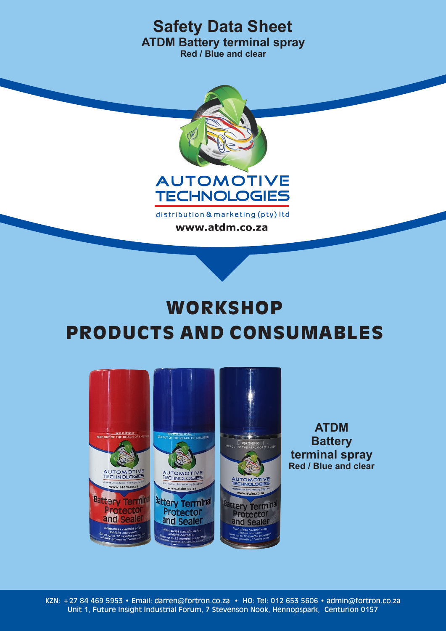

www.atdm.co.za

# **WORKSHOP** PRODUCTS AND CONSUMABLES



**ATDM Battery terminal spray Red / Blue and clear**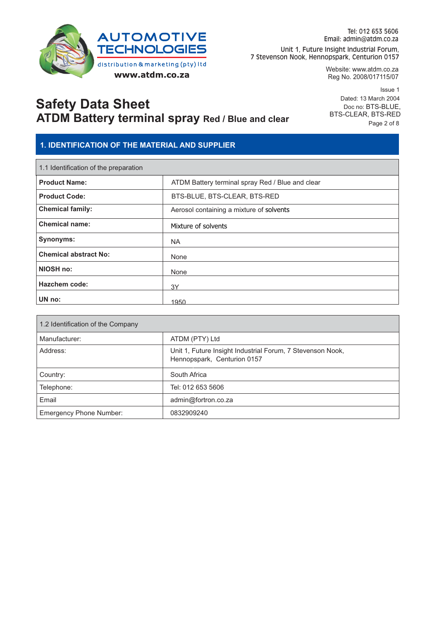

Website: www.atdm.co.za Reg No. 2008/017115/07

**Safety Data Sheet ATDM Battery terminal spray Red / Blue and clear**

Issue 1 Dated: 13 March 2004 Doc no: BTS-BLUE, BTS-CLEAR, BTS-RED Page 2 of 8

#### **1. IDENTIFICATION OF THE MATERIAL AND SUPPLIER**

| 1.1 Identification of the preparation |                                                  |  |
|---------------------------------------|--------------------------------------------------|--|
| <b>Product Name:</b>                  | ATDM Battery terminal spray Red / Blue and clear |  |
| <b>Product Code:</b>                  | BTS-BLUE, BTS-CLEAR, BTS-RED                     |  |
| <b>Chemical family:</b>               | Aerosol containing a mixture of solvents         |  |
| <b>Chemical name:</b>                 | Mixture of solvents                              |  |
| Synonyms:                             | <b>NA</b>                                        |  |
| <b>Chemical abstract No:</b>          | None                                             |  |
| NIOSH no:                             | None                                             |  |
| Hazchem code:                         | 3Y                                               |  |
| UN no:                                | 1950                                             |  |

| 1.2 Identification of the Company |                                                                                           |  |
|-----------------------------------|-------------------------------------------------------------------------------------------|--|
| Manufacturer:                     | ATDM (PTY) Ltd                                                                            |  |
| Address:                          | Unit 1, Future Insight Industrial Forum, 7 Stevenson Nook,<br>Hennopspark, Centurion 0157 |  |
| Country:                          | South Africa                                                                              |  |
| Telephone:                        | Tel: 012 653 5606                                                                         |  |
| Email                             | admin@fortron.co.za                                                                       |  |
| <b>Emergency Phone Number:</b>    | 0832909240                                                                                |  |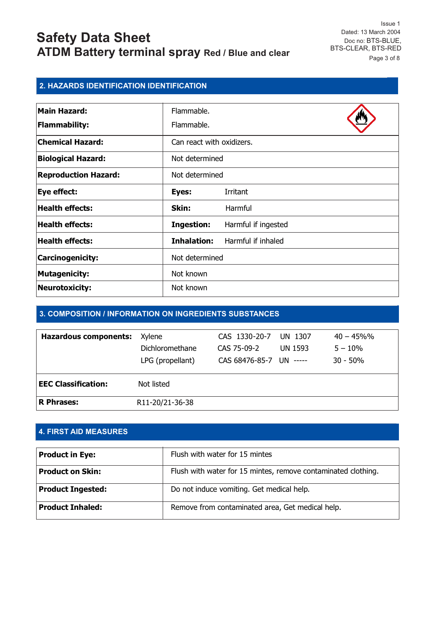Issue 1 Dated: 13 March 2004 Doc no: BTS-BLUE, BTS-CLEAR, BTS-RED Page 3 of 8

#### **2. HAZARDS IDENTIFICATION IDENTIFICATION**

| <b>Main Hazard:</b>         | Flammable.                |                     |
|-----------------------------|---------------------------|---------------------|
| <b>Flammability:</b>        | Flammable.                |                     |
| <b>Chemical Hazard:</b>     | Can react with oxidizers. |                     |
| <b>Biological Hazard:</b>   | Not determined            |                     |
| <b>Reproduction Hazard:</b> | Not determined            |                     |
| Eye effect:                 | Eyes:                     | <b>Irritant</b>     |
| <b>Health effects:</b>      | Skin:                     | Harmful             |
| <b>Health effects:</b>      | <b>Ingestion:</b>         | Harmful if ingested |
| <b>Health effects:</b>      | <b>Inhalation:</b>        | Harmful if inhaled  |
| Carcinogenicity:            | Not determined            |                     |
| <b>Mutagenicity:</b>        | Not known                 |                     |
| <b>Neurotoxicity:</b>       | Not known                 |                     |

#### **3. COMPOSITION / INFORMATION ON INGREDIENTS SUBSTANCES**

| <b>Hazardous components:</b> | Xvlene           | CAS 1330-20-7           | UN 1307 | $40 - 45\%$ % |
|------------------------------|------------------|-------------------------|---------|---------------|
|                              | Dichloromethane  | CAS 75-09-2             | UN 1593 | $5 - 10\%$    |
|                              | LPG (propellant) | CAS 68476-85-7 UN ----- |         | $30 - 50%$    |
|                              |                  |                         |         |               |
| <b>EEC Classification:</b>   | Not listed       |                         |         |               |
| R Phrases:                   | R11-20/21-36-38  |                         |         |               |

#### **4. FIRST AID MEASURES**

| <b>Product in Eye:</b>   | Flush with water for 15 mintes                                |
|--------------------------|---------------------------------------------------------------|
| <b>Product on Skin:</b>  | Flush with water for 15 mintes, remove contaminated clothing. |
| <b>Product Ingested:</b> | Do not induce vomiting. Get medical help.                     |
| <b>Product Inhaled:</b>  | Remove from contaminated area, Get medical help.              |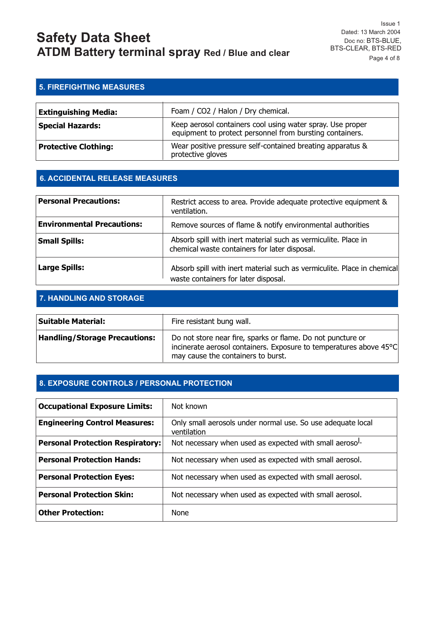Issue 1 Dated: 13 March 2004 Doc no: BTS-BLUE, BTS-CLEAR, BTS-RED Page 4 of 8

#### **5. FIREFIGHTING MEASURES**

| <b>Extinguishing Media:</b> | Foam / CO2 / Halon / Dry chemical.                                                                                     |
|-----------------------------|------------------------------------------------------------------------------------------------------------------------|
| <b>Special Hazards:</b>     | Keep aerosol containers cool using water spray. Use proper<br>equipment to protect personnel from bursting containers. |
| <b>Protective Clothing:</b> | Wear positive pressure self-contained breating apparatus &<br>protective gloves                                        |

#### **6. ACCIDENTAL RELEASE MEASURES**

| <b>Personal Precautions:</b>      | Restrict access to area. Provide adequate protective equipment &<br>ventilation.                                |
|-----------------------------------|-----------------------------------------------------------------------------------------------------------------|
| <b>Environmental Precautions:</b> | Remove sources of flame & notify environmental authorities                                                      |
| <b>Small Spills:</b>              | Absorb spill with inert material such as vermiculite. Place in<br>chemical waste containers for later disposal. |
| <b>Large Spills:</b>              | Absorb spill with inert material such as vermiculite. Place in chemical<br>waste containers for later disposal. |

#### **7. HANDLING AND STORAGE**

| Suitable Material:                   | Fire resistant bung wall.                                                                                                                                               |
|--------------------------------------|-------------------------------------------------------------------------------------------------------------------------------------------------------------------------|
| <b>Handling/Storage Precautions:</b> | Do not store near fire, sparks or flame. Do not puncture or<br>incinerate aerosol containers. Exposure to temperatures above 45°C<br>may cause the containers to burst. |

#### **8. EXPOSURE CONTROLS / PERSONAL PROTECTION**

| <b>Occupational Exposure Limits:</b>    | Not known                                                                  |
|-----------------------------------------|----------------------------------------------------------------------------|
| <b>Engineering Control Measures:</b>    | Only small aerosols under normal use. So use adequate local<br>ventilation |
| <b>Personal Protection Respiratory:</b> | Not necessary when used as expected with small aeroso <sup>1.</sup>        |
| <b>Personal Protection Hands:</b>       | Not necessary when used as expected with small aerosol.                    |
| <b>Personal Protection Eyes:</b>        | Not necessary when used as expected with small aerosol.                    |
| <b>Personal Protection Skin:</b>        | Not necessary when used as expected with small aerosol.                    |
| <b>Other Protection:</b>                | None                                                                       |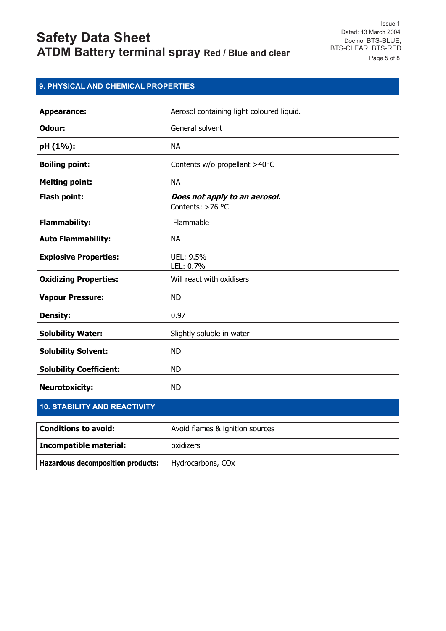Issue 1 Dated: 13 March 2004 Doc no: BTS-BLUE, BTS-CLEAR, BTS-RED Page 5 of 8

#### **9. PHYSICAL AND CHEMICAL PROPERTIES**

| <b>Appearance:</b>             | Aerosol containing light coloured liquid.         |
|--------------------------------|---------------------------------------------------|
|                                |                                                   |
| Odour:                         | General solvent                                   |
| pH (1%):                       | <b>NA</b>                                         |
| <b>Boiling point:</b>          | Contents w/o propellant >40°C                     |
| <b>Melting point:</b>          | <b>NA</b>                                         |
| Flash point:                   | Does not apply to an aerosol.<br>Contents: >76 °C |
| <b>Flammability:</b>           | Flammable                                         |
| <b>Auto Flammability:</b>      | <b>NA</b>                                         |
| <b>Explosive Properties:</b>   | UEL: 9.5%<br>LEL: 0.7%                            |
| <b>Oxidizing Properties:</b>   | Will react with oxidisers                         |
| <b>Vapour Pressure:</b>        | <b>ND</b>                                         |
| <b>Density:</b>                | 0.97                                              |
| <b>Solubility Water:</b>       | Slightly soluble in water                         |
| <b>Solubility Solvent:</b>     | <b>ND</b>                                         |
| <b>Solubility Coefficient:</b> | <b>ND</b>                                         |
| <b>Neurotoxicity:</b>          | <b>ND</b>                                         |

#### **10. STABILITY AND REACTIVITY**

| <b>Conditions to avoid:</b>              | Avoid flames & ignition sources |
|------------------------------------------|---------------------------------|
| Incompatible material:                   | oxidizers                       |
| <b>Hazardous decomposition products:</b> | Hydrocarbons, CO <sub>x</sub>   |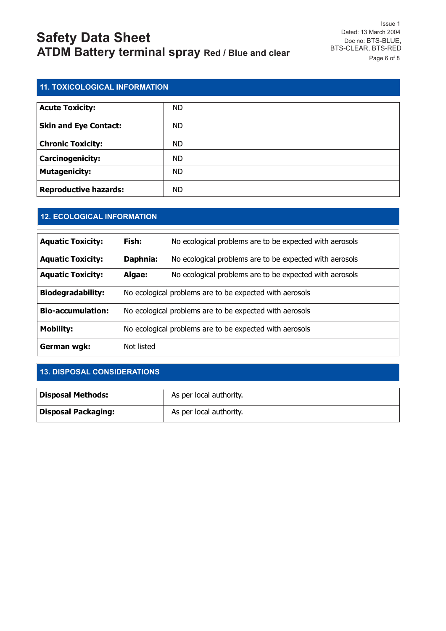Issue 1 Dated: 13 March 2004 Doc no: BTS-BLUE, BTS-CLEAR, BTS-RED Page 6 of 8

#### **11. TOXICOLOGICAL INFORMATION**

| <b>Acute Toxicity:</b>       | <b>ND</b> |
|------------------------------|-----------|
| <b>Skin and Eye Contact:</b> | <b>ND</b> |
| <b>Chronic Toxicity:</b>     | <b>ND</b> |
| Carcinogenicity:             | <b>ND</b> |
| <b>Mutagenicity:</b>         | <b>ND</b> |
| <b>Reproductive hazards:</b> | <b>ND</b> |

#### **12. ECOLOGICAL INFORMATION**

| <b>Aquatic Toxicity:</b> | Fish:                                                   | No ecological problems are to be expected with aerosols |
|--------------------------|---------------------------------------------------------|---------------------------------------------------------|
| <b>Aquatic Toxicity:</b> | Daphnia:                                                | No ecological problems are to be expected with aerosols |
| <b>Aquatic Toxicity:</b> | Algae:                                                  | No ecological problems are to be expected with aerosols |
| <b>Biodegradability:</b> | No ecological problems are to be expected with aerosols |                                                         |
| <b>Bio-accumulation:</b> | No ecological problems are to be expected with aerosols |                                                         |
| <b>Mobility:</b>         | No ecological problems are to be expected with aerosols |                                                         |
| German wgk:              | Not listed                                              |                                                         |

#### **13. DISPOSAL CONSIDERATIONS**

| <b>Disposal Methods:</b>   | As per local authority. |
|----------------------------|-------------------------|
| <b>Disposal Packaging:</b> | As per local authority. |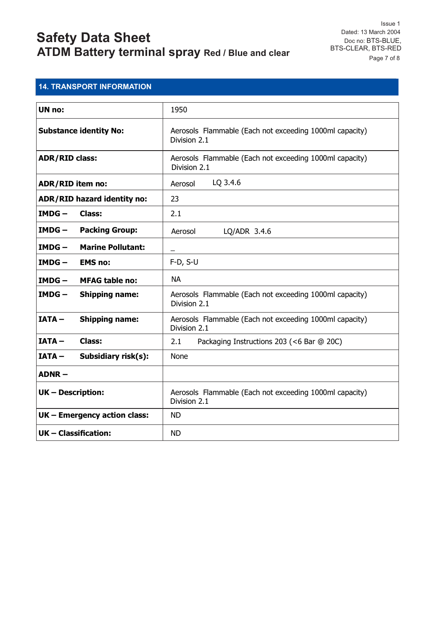#### **14. TRANSPORT INFORMATION**

| <b>UN no:</b>                        | 1950                                                                    |
|--------------------------------------|-------------------------------------------------------------------------|
| <b>Substance identity No:</b>        | Aerosols Flammable (Each not exceeding 1000ml capacity)<br>Division 2.1 |
| <b>ADR/RID class:</b>                | Aerosols Flammable (Each not exceeding 1000ml capacity)<br>Division 2.1 |
| <b>ADR/RID item no:</b>              | LQ 3.4.6<br>Aerosol                                                     |
| <b>ADR/RID hazard identity no:</b>   | 23                                                                      |
| $IMDG -$<br><b>Class:</b>            | 2.1                                                                     |
| <b>Packing Group:</b><br>$IMDG -$    | Aerosol<br>$LQ/ADR$ 3.4.6                                               |
| <b>Marine Pollutant:</b><br>$IMDG -$ |                                                                         |
| $IMDG -$<br><b>EMS no:</b>           | $F-D, S-U$                                                              |
| $IMDG -$<br><b>MFAG table no:</b>    | <b>NA</b>                                                               |
| $IMDG -$<br><b>Shipping name:</b>    | Aerosols Flammable (Each not exceeding 1000ml capacity)<br>Division 2.1 |
| $IATA -$<br><b>Shipping name:</b>    | Aerosols Flammable (Each not exceeding 1000ml capacity)<br>Division 2.1 |
| $IATA -$<br>Class:                   | 2.1<br>Packaging Instructions 203 (<6 Bar @ 20C)                        |
| $IATA -$<br>Subsidiary risk(s):      | None                                                                    |
| $ADNR -$                             |                                                                         |
| <b>UK-Description:</b>               | Aerosols Flammable (Each not exceeding 1000ml capacity)<br>Division 2.1 |
| UK - Emergency action class:         | <b>ND</b>                                                               |
| UK - Classification:                 | <b>ND</b>                                                               |